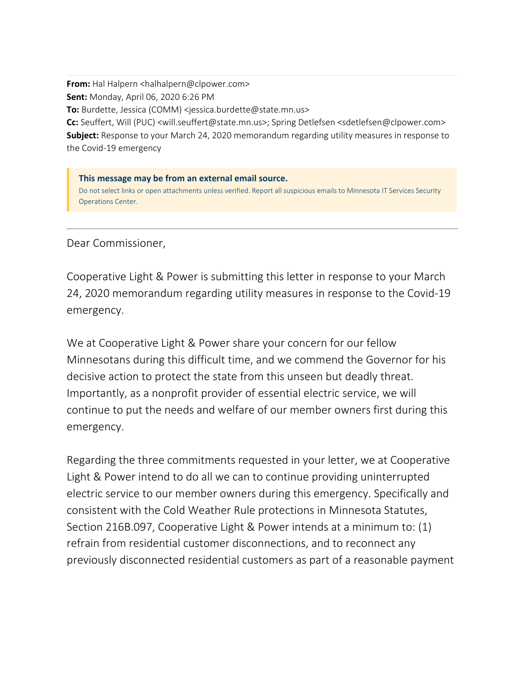**From:** Hal Halpern <halhalpern@clpower.com> **Sent:** Monday, April 06, 2020 6:26 PM **To:** Burdette, Jessica (COMM) <jessica.burdette@state.mn.us>

Cc: Seuffert, Will (PUC) <will.seuffert@state.mn.us>; Spring Detlefsen <sdetlefsen@clpower.com> **Subject:** Response to your March 24, 2020 memorandum regarding utility measures in response to the Covid-19 emergency

**This message may be from an external email source.** Do not select links or open attachments unless verified. Report all suspicious emails to Minnesota IT Services Security Operations Center.

Dear Commissioner,

Cooperative Light & Power is submitting this letter in response to your March 24, 2020 memorandum regarding utility measures in response to the Covid-19 emergency.

We at Cooperative Light & Power share your concern for our fellow Minnesotans during this difficult time, and we commend the Governor for his decisive action to protect the state from this unseen but deadly threat. Importantly, as a nonprofit provider of essential electric service, we will continue to put the needs and welfare of our member owners first during this emergency.

Regarding the three commitments requested in your letter, we at Cooperative Light & Power intend to do all we can to continue providing uninterrupted electric service to our member owners during this emergency. Specifically and consistent with the Cold Weather Rule protections in Minnesota Statutes, Section 216B.097, Cooperative Light & Power intends at a minimum to: (1) refrain from residential customer disconnections, and to reconnect any previously disconnected residential customers as part of a reasonable payment